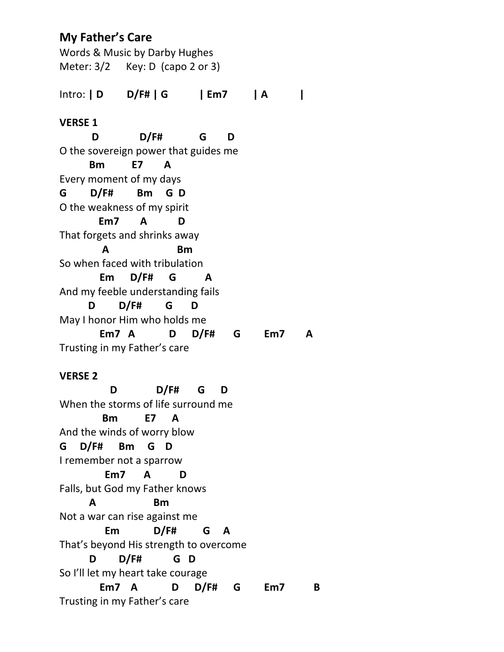# **My Father's Care**

Words & Music by Darby Hughes Meter: 3/2 Key: D (capo 2 or 3) Intro: **| D D/F# | G | Em7 | A | VERSE 1 D D/F# G D** O the sovereign power that guides me **Bm E7 A** Every moment of my days **G D/F# Bm G D** O the weakness of my spirit  **Em7 A D** That forgets and shrinks away  **A Bm** So when faced with tribulation  **Em D/F# G A** And my feeble understanding fails  **D D/F# G D** May I honor Him who holds me  **Em7 A D D/F# G Em7 A** Trusting in my Father's care

## **VERSE 2**

 **D D/F# G D** When the storms of life surround me **Bm E7 A** And the winds of worry blow **G D/F# Bm G D** I remember not a sparrow **Em7 A D** Falls, but God my Father knows **A Bm** Not a war can rise against me **Em D/F# G A** That's beyond His strength to overcome **D D/F# G D** So I'll let my heart take courage **Em7 A D D/F# G Em7 B** Trusting in my Father's care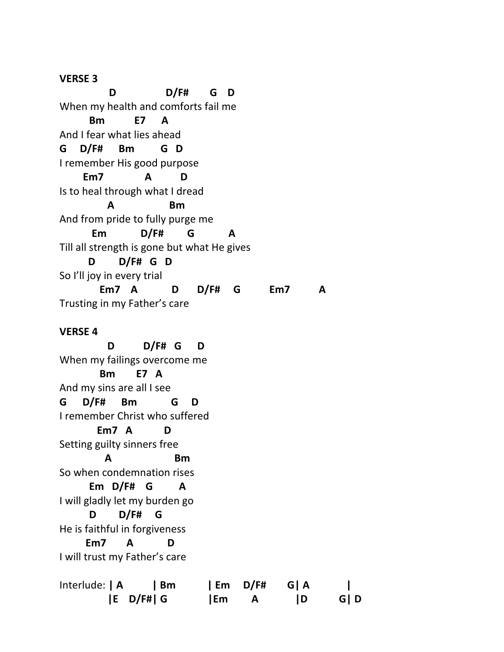### **VERSE 3**

 **D D/F# G D** When my health and comforts fail me **Bm E7 A** And I fear what lies ahead **G D/F# Bm G D** I remember His good purpose **Em7 A D** Is to heal through what I dread **A Bm** And from pride to fully purge me **Em D/F# G A** Till all strength is gone but what He gives **D D/F# G D** So I'll joy in every trial **Em7 A D D/F# G Em7 A** Trusting in my Father's care **VERSE 4**

 **D D/F# G D**  When my failings overcome me **Bm E7 A** And my sins are all I see **G D/F# Bm G D** I remember Christ who suffered **Em7 A D** Setting guilty sinners free **A Bm** So when condemnation rises **Em D/F# G A** I will gladly let my burden go **D D/F# G** He is faithful in forgiveness **Em7 A D** I will trust my Father's care

| Interlude:   A | Bm            |    | Em D/F# | G   A     |       |
|----------------|---------------|----|---------|-----------|-------|
|                | $ E\ D/F\# G$ | Em |         | <b>ID</b> | G   D |